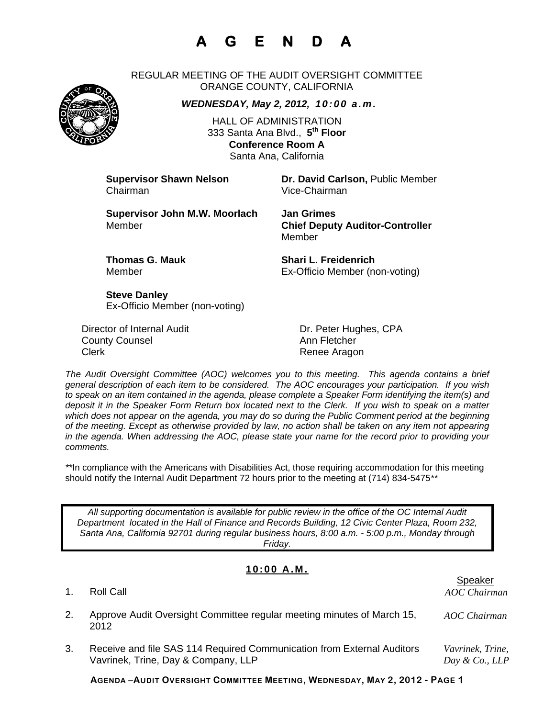## **A G E N D A**

REGULAR MEETING OF THE AUDIT OVERSIGHT COMMITTEE ORANGE COUNTY, CALIFORNIA

*WEDNESDAY, May 2, 2012, 10:00 a.m.*

HALL OF ADMINISTRATION 333 Santa Ana Blvd., **5th Floor Conference Room A**  Santa Ana, California

Chairman Vice-Chairman

**Supervisor Shawn Nelson <b>Dr. David Carlson**, Public Member

**Supervisor John M.W. Moorlach Jan Grimes**  Member **Chief Deputy Auditor-Controller** 

Member

**Thomas G. Mauk Shari L. Freidenrich** Member Ex-Officio Member (non-voting)

**Steve Danley** Ex-Officio Member (non-voting)

Director of Internal Audit **Dr. Peter Hughes, CPA County Counsel Countillist County Counsel Ann Fletcher** Clerk **Renee Aragon** 

*The Audit Oversight Committee (AOC) welcomes you to this meeting. This agenda contains a brief general description of each item to be considered. The AOC encourages your participation. If you wish to speak on an item contained in the agenda, please complete a Speaker Form identifying the item(s) and deposit it in the Speaker Form Return box located next to the Clerk. If you wish to speak on a matter which does not appear on the agenda, you may do so during the Public Comment period at the beginning of the meeting. Except as otherwise provided by law, no action shall be taken on any item not appearing in the agenda. When addressing the AOC, please state your name for the record prior to providing your comments.* 

*\*\**In compliance with the Americans with Disabilities Act, those requiring accommodation for this meeting should notify the Internal Audit Department 72 hours prior to the meeting at (714) 834-5475*\*\** 

*All supporting documentation is available for public review in the office of the OC Internal Audit Department located in the Hall of Finance and Records Building, 12 Civic Center Plaza, Room 232, Santa Ana, California 92701 during regular business hours, 8:00 a.m. - 5:00 p.m., Monday through Friday.* 

#### **10:00 A.M.**

| 1. | Roll Call                                                                                                     | Speaker<br>AOC Chairman            |
|----|---------------------------------------------------------------------------------------------------------------|------------------------------------|
|    | Approve Audit Oversight Committee regular meeting minutes of March 15,<br>2012                                | AOC Chairman                       |
|    | Receive and file SAS 114 Required Communication from External Auditors<br>Vavrinek, Trine, Day & Company, LLP | Vavrinek, Trine,<br>Day & Co., LLP |

**AGENDA –AUDIT OVERSIGHT COMMITTEE MEETING, WEDNESDAY, MAY 2, 2012 - PAGE 1**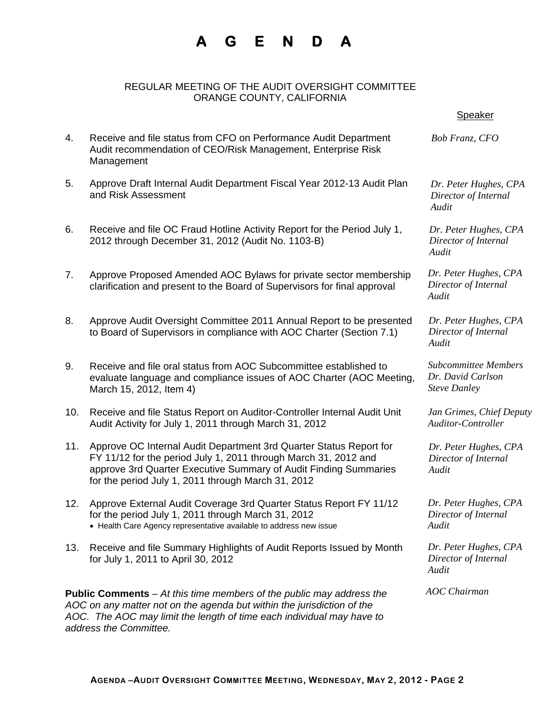### **A G E N D A**

#### REGULAR MEETING OF THE AUDIT OVERSIGHT COMMITTEE ORANGE COUNTY, CALIFORNIA

4. Receive and file status from CFO on Performance Audit Department Audit recommendation of CEO/Risk Management, Enterprise Risk

5. Approve Draft Internal Audit Department Fiscal Year 2012-13 Audit Plan

Management

and Risk Assessment

# *Bob Franz, CFO Dr. Peter Hughes, CPA Director of Internal Audit*  en de statistische Speaker in der Speaker in der Speaker in der Speaker in der Speaker in der Speaker in der S

*Dr. Peter Hughes, CPA Director of Internal* 

*Dr. Peter Hughes, CPA Director of Internal Audit* 

*Dr. Peter Hughes, CPA Director of Internal Audit* 

mbers *Dr. David Carlson* 

*Jan Grimes, Chief Deputy Auditor-Controller* 

*Dr. Peter Hughes, CPA Director of Internal Audit* 

*Dr. Peter Hughes, CPA Director of Internal* 

*Dr. Peter Hughes, CPA Director of Internal Audit* 

*AOC Chairman* 

| 6.  | Receive and file OC Fraud Hotline Activity Report for the Period July 1,<br>2012 through December 31, 2012 (Audit No. 1103-B)                                                                                                                                   | Dr. Peter Hughes<br>Director of Intern<br>Audit              |
|-----|-----------------------------------------------------------------------------------------------------------------------------------------------------------------------------------------------------------------------------------------------------------------|--------------------------------------------------------------|
| 7.  | Approve Proposed Amended AOC Bylaws for private sector membership<br>clarification and present to the Board of Supervisors for final approval                                                                                                                   | Dr. Peter Hughes,<br>Director of Intern<br>Audit             |
| 8.  | Approve Audit Oversight Committee 2011 Annual Report to be presented<br>to Board of Supervisors in compliance with AOC Charter (Section 7.1)                                                                                                                    | Dr. Peter Hughes,<br>Director of Intern<br>Audit             |
| 9.  | Receive and file oral status from AOC Subcommittee established to<br>evaluate language and compliance issues of AOC Charter (AOC Meeting,<br>March 15, 2012, Item 4)                                                                                            | Subcommittee Mei<br>Dr. David Carlson<br><b>Steve Danley</b> |
| 10. | Receive and file Status Report on Auditor-Controller Internal Audit Unit<br>Audit Activity for July 1, 2011 through March 31, 2012                                                                                                                              | Jan Grimes, Chief<br>Auditor-Controlle                       |
| 11. | Approve OC Internal Audit Department 3rd Quarter Status Report for<br>FY 11/12 for the period July 1, 2011 through March 31, 2012 and<br>approve 3rd Quarter Executive Summary of Audit Finding Summaries<br>for the period July 1, 2011 through March 31, 2012 | Dr. Peter Hughes,<br>Director of Intern<br>Audit             |
| 12. | Approve External Audit Coverage 3rd Quarter Status Report FY 11/12<br>for the period July 1, 2011 through March 31, 2012<br>• Health Care Agency representative available to address new issue                                                                  | Dr. Peter Hughes,<br>Director of Intern<br>Audit             |
| 13. | Receive and file Summary Highlights of Audit Reports Issued by Month<br>for July 1, 2011 to April 30, 2012                                                                                                                                                      | Dr. Peter Hughes,<br>Director of Intern<br>Audit             |
|     |                                                                                                                                                                                                                                                                 |                                                              |

**Public Comments** – *At this time members of the public may address the AOC on any matter not on the agenda but within the jurisdiction of the AOC. The AOC may limit the length of time each individual may have to address the Committee.*